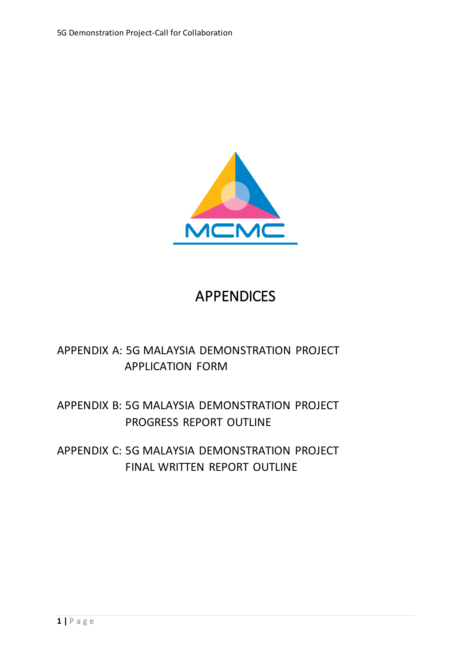

## APPENDICES

### APPENDIX A: 5G MALAYSIA DEMONSTRATION PROJECT APPLICATION FORM

### APPENDIX B: 5G MALAYSIA DEMONSTRATION PROJECT PROGRESS REPORT OUTLINE

APPENDIX C: 5G MALAYSIA DEMONSTRATION PROJECT FINAL WRITTEN REPORT OUTLINE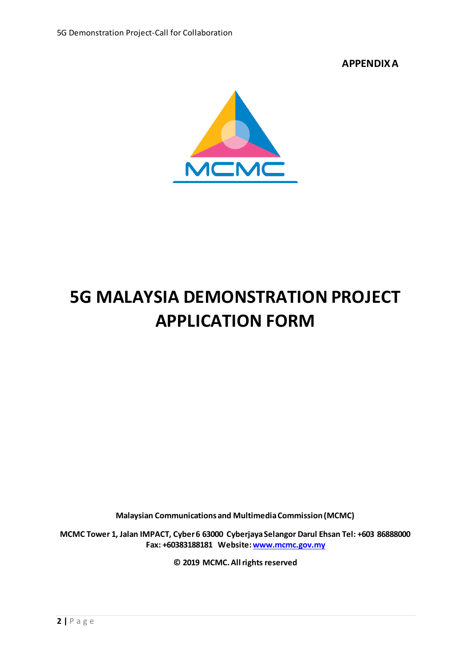**APPENDIX A**



## **5G MALAYSIA DEMONSTRATION PROJECT APPLICATION FORM**

**Malaysian Communications and Multimedia Commission (MCMC)**

**MCMC Tower 1, Jalan IMPACT, Cyber 6 63000 Cyberjaya Selangor Darul Ehsan Tel: +603 86888000 Fax: +60383188181 Website[: www.mcmc.gov.my](http://www.mcmc.gov.my/)**

**© 2019 MCMC. All rights reserved**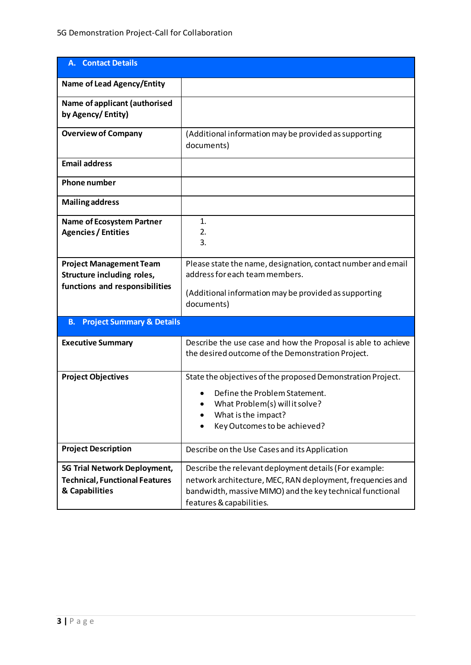| <b>A.</b> Contact Details                                                                      |                                                                                                                                                         |  |  |  |  |
|------------------------------------------------------------------------------------------------|---------------------------------------------------------------------------------------------------------------------------------------------------------|--|--|--|--|
| <b>Name of Lead Agency/Entity</b>                                                              |                                                                                                                                                         |  |  |  |  |
| Name of applicant (authorised<br>by Agency/Entity)                                             |                                                                                                                                                         |  |  |  |  |
| <b>Overview of Company</b>                                                                     | (Additional information may be provided as supporting<br>documents)                                                                                     |  |  |  |  |
| <b>Email address</b>                                                                           |                                                                                                                                                         |  |  |  |  |
| <b>Phone number</b>                                                                            |                                                                                                                                                         |  |  |  |  |
| <b>Mailing address</b>                                                                         |                                                                                                                                                         |  |  |  |  |
| <b>Name of Ecosystem Partner</b><br><b>Agencies / Entities</b>                                 | $\mathbf{1}$ .<br>2.<br>3.                                                                                                                              |  |  |  |  |
| <b>Project Management Team</b><br>Structure including roles,<br>functions and responsibilities | Please state the name, designation, contact number and email<br>address for each team members.<br>(Additional information may be provided as supporting |  |  |  |  |
|                                                                                                | documents)                                                                                                                                              |  |  |  |  |
| <b>Project Summary &amp; Details</b><br><b>B.</b>                                              |                                                                                                                                                         |  |  |  |  |
| <b>Executive Summary</b>                                                                       | Describe the use case and how the Proposal is able to achieve<br>the desired outcome of the Demonstration Project.                                      |  |  |  |  |
| <b>Project Objectives</b>                                                                      | State the objectives of the proposed Demonstration Project.                                                                                             |  |  |  |  |
|                                                                                                | Define the Problem Statement.<br>What Problem(s) will it solve?                                                                                         |  |  |  |  |
|                                                                                                | What is the impact?                                                                                                                                     |  |  |  |  |
|                                                                                                | Key Outcomes to be achieved?                                                                                                                            |  |  |  |  |
| <b>Project Description</b>                                                                     | Describe on the Use Cases and its Application                                                                                                           |  |  |  |  |
| 5G Trial Network Deployment,                                                                   | Describe the relevant deployment details (For example:                                                                                                  |  |  |  |  |
| <b>Technical, Functional Features</b><br>& Capabilities                                        | network architecture, MEC, RAN deployment, frequencies and<br>bandwidth, massive MIMO) and the key technical functional<br>features & capabilities.     |  |  |  |  |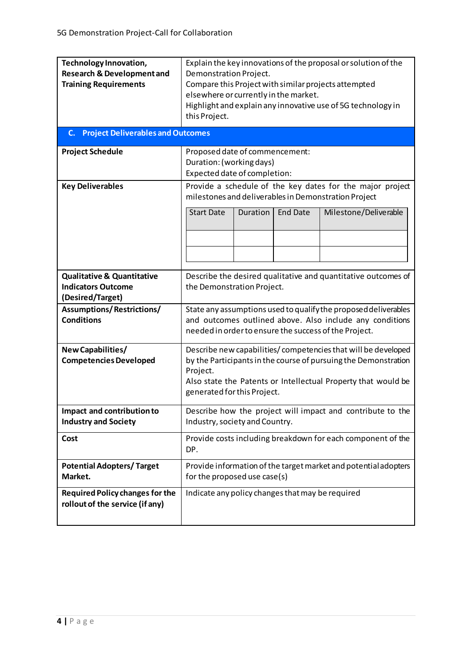| Technology Innovation,<br><b>Research &amp; Development and</b><br><b>Training Requirements</b><br><b>Project Deliverables and Outcomes</b><br>C. | Explain the key innovations of the proposal or solution of the<br>Demonstration Project.<br>Compare this Project with similar projects attempted<br>elsewhere or currently in the market.<br>Highlight and explain any innovative use of 5G technology in<br>this Project. |  |  |  |  |  |  |
|---------------------------------------------------------------------------------------------------------------------------------------------------|----------------------------------------------------------------------------------------------------------------------------------------------------------------------------------------------------------------------------------------------------------------------------|--|--|--|--|--|--|
| <b>Project Schedule</b>                                                                                                                           | Proposed date of commencement:<br>Duration: (working days)<br>Expected date of completion:                                                                                                                                                                                 |  |  |  |  |  |  |
| <b>Key Deliverables</b>                                                                                                                           | Provide a schedule of the key dates for the major project<br>milestones and deliverables in Demonstration Project<br><b>Start Date</b><br>Milestone/Deliverable<br><b>Duration</b><br><b>End Date</b>                                                                      |  |  |  |  |  |  |
| <b>Qualitative &amp; Quantitative</b><br><b>Indicators Outcome</b><br>(Desired/Target)                                                            | Describe the desired qualitative and quantitative outcomes of<br>the Demonstration Project.                                                                                                                                                                                |  |  |  |  |  |  |
| <b>Assumptions/Restrictions/</b><br><b>Conditions</b>                                                                                             | State any assumptions used to qualify the proposed deliverables<br>and outcomes outlined above. Also include any conditions<br>needed in order to ensure the success of the Project.                                                                                       |  |  |  |  |  |  |
| New Capabilities/<br><b>Competencies Developed</b>                                                                                                | Describe new capabilities/competencies that will be developed<br>by the Participants in the course of pursuing the Demonstration<br>Project.<br>Also state the Patents or Intellectual Property that would be<br>generated for this Project.                               |  |  |  |  |  |  |
| Impact and contribution to<br><b>Industry and Society</b>                                                                                         | Describe how the project will impact and contribute to the<br>Industry, society and Country.                                                                                                                                                                               |  |  |  |  |  |  |
| Cost                                                                                                                                              | Provide costs including breakdown for each component of the<br>DP.                                                                                                                                                                                                         |  |  |  |  |  |  |
| <b>Potential Adopters/Target</b><br>Market.                                                                                                       | Provide information of the target market and potential adopters<br>for the proposed use case(s)                                                                                                                                                                            |  |  |  |  |  |  |
| <b>Required Policy changes for the</b><br>rollout of the service (if any)                                                                         | Indicate any policy changes that may be required                                                                                                                                                                                                                           |  |  |  |  |  |  |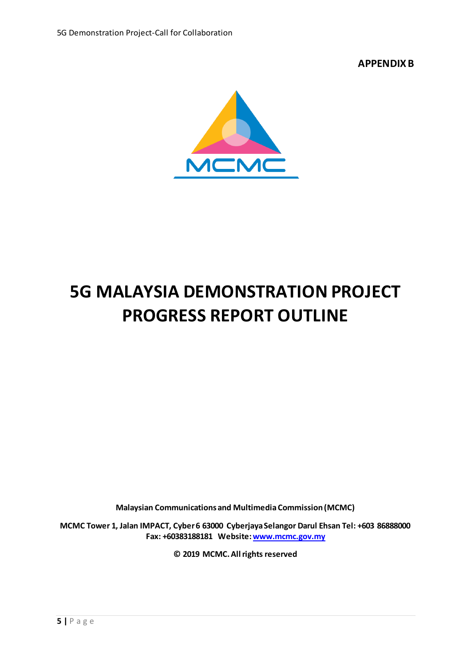**APPENDIX B**



## **5G MALAYSIA DEMONSTRATION PROJECT PROGRESS REPORT OUTLINE**

**Malaysian Communications and Multimedia Commission (MCMC)**

**MCMC Tower 1, Jalan IMPACT, Cyber 6 63000 Cyberjaya Selangor Darul Ehsan Tel: +603 86888000 Fax: +60383188181 Website[: www.mcmc.gov.my](http://www.mcmc.gov.my/)**

**© 2019 MCMC. All rights reserved**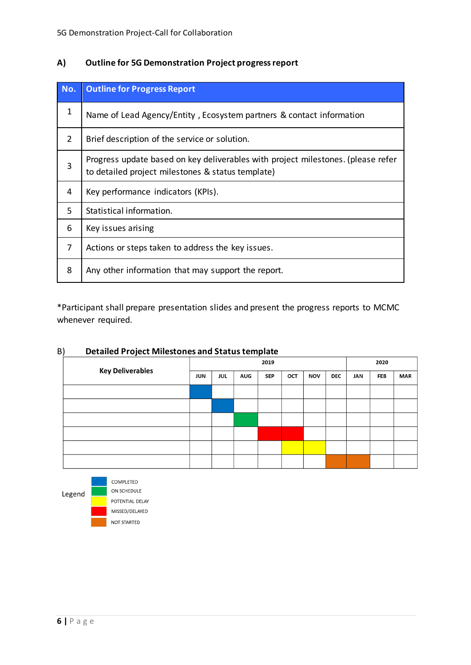#### **A) Outline for 5G Demonstration Project progress report**

| No. | <b>Outline for Progress Report</b>                                                                                                    |
|-----|---------------------------------------------------------------------------------------------------------------------------------------|
| 1   | Name of Lead Agency/Entity, Ecosystem partners & contact information                                                                  |
| 2   | Brief description of the service or solution.                                                                                         |
| 3   | Progress update based on key deliverables with project milestones. (please refer<br>to detailed project milestones & status template) |
| 4   | Key performance indicators (KPIs).                                                                                                    |
| 5   | Statistical information.                                                                                                              |
| 6   | Key issues arising                                                                                                                    |
| 7   | Actions or steps taken to address the key issues.                                                                                     |
| 8   | Any other information that may support the report.                                                                                    |

\*Participant shall prepare presentation slides and present the progress reports to MCMC whenever required.

| - , | <u>Petanea Froject Milestories and Status template</u><br><b>Key Deliverables</b> | 2019 |            |            |            |     |            | 2020       |     |            |            |
|-----|-----------------------------------------------------------------------------------|------|------------|------------|------------|-----|------------|------------|-----|------------|------------|
|     |                                                                                   | JUN  | <b>JUL</b> | <b>AUG</b> | <b>SEP</b> | OCT | <b>NOV</b> | <b>DEC</b> | JAN | <b>FEB</b> | <b>MAR</b> |
|     |                                                                                   |      |            |            |            |     |            |            |     |            |            |
|     |                                                                                   |      |            |            |            |     |            |            |     |            |            |
|     |                                                                                   |      |            |            |            |     |            |            |     |            |            |
|     |                                                                                   |      |            |            |            |     |            |            |     |            |            |
|     |                                                                                   |      |            |            |            |     |            |            |     |            |            |
|     |                                                                                   |      |            |            |            |     |            |            |     |            |            |

#### B) **Detailed Project Milestones and Status template**

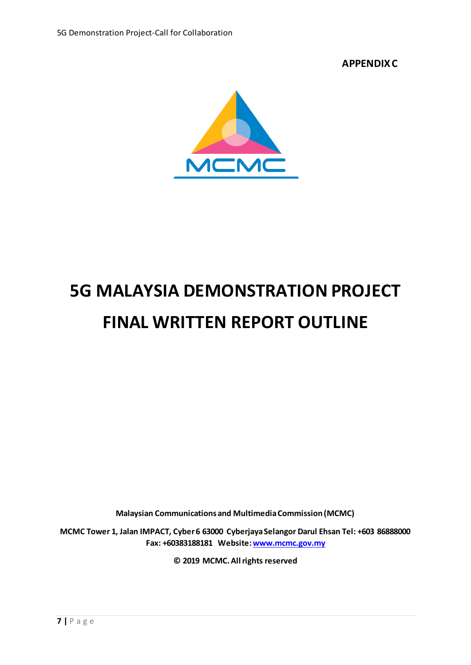**APPENDIX C**



# **5G MALAYSIA DEMONSTRATION PROJECT FINAL WRITTEN REPORT OUTLINE**

**Malaysian Communications and Multimedia Commission (MCMC)**

**MCMC Tower 1, Jalan IMPACT, Cyber 6 63000 Cyberjaya Selangor Darul Ehsan Tel: +603 86888000 Fax: +60383188181 Website[: www.mcmc.gov.my](http://www.mcmc.gov.my/)**

**© 2019 MCMC. All rights reserved**